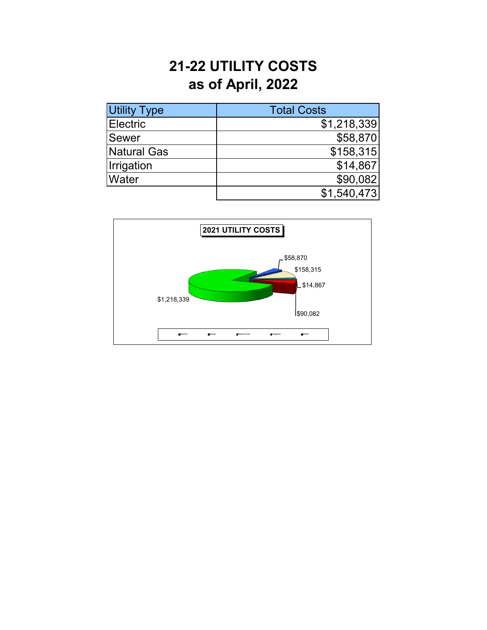## **21-22 UTILITY COSTS as of April, 2022**

| <b>Utility Type</b> | <b>Total Costs</b> |
|---------------------|--------------------|
| Electric            | \$1,218,339        |
| Sewer               | \$58,870           |
| Natural Gas         | \$158,315          |
| <b>Irrigation</b>   | \$14,867           |
| <b>Water</b>        | \$90,082           |
|                     | \$1,540,473        |